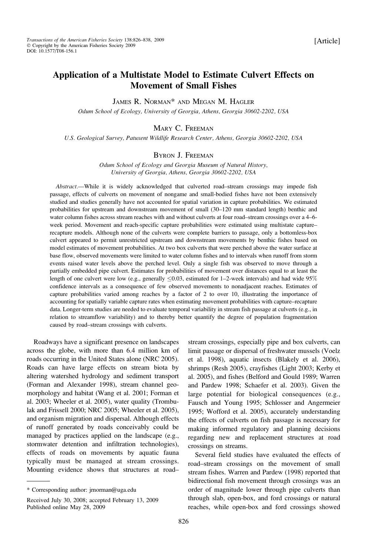# Application of a Multistate Model to Estimate Culvert Effects on Movement of Small Fishes

## JAMES R. NORMAN\* AND MEGAN M. HAGLER

Odum School of Ecology, University of Georgia, Athens, Georgia 30602-2202, USA

## MARY C. FREEMAN

U.S. Geological Survey, Patuxent Wildlife Research Center, Athens, Georgia 30602-2202, USA

## BYRON J. FREEMAN

Odum School of Ecology and Georgia Museum of Natural History, University of Georgia, Athens, Georgia 30602-2202, USA

Abstract.—While it is widely acknowledged that culverted road–stream crossings may impede fish passage, effects of culverts on movement of nongame and small-bodied fishes have not been extensively studied and studies generally have not accounted for spatial variation in capture probabilities. We estimated probabilities for upstream and downstream movement of small (30–120 mm standard length) benthic and water column fishes across stream reaches with and without culverts at four road–stream crossings over a 4–6week period. Movement and reach-specific capture probabilities were estimated using multistate capture– recapture models. Although none of the culverts were complete barriers to passage, only a bottomless-box culvert appeared to permit unrestricted upstream and downstream movements by benthic fishes based on model estimates of movement probabilities. At two box culverts that were perched above the water surface at base flow, observed movements were limited to water column fishes and to intervals when runoff from storm events raised water levels above the perched level. Only a single fish was observed to move through a partially embedded pipe culvert. Estimates for probabilities of movement over distances equal to at least the length of one culvert were low (e.g., generally  $\leq 0.03$ , estimated for 1–2-week intervals) and had wide 95% confidence intervals as a consequence of few observed movements to nonadjacent reaches. Estimates of capture probabilities varied among reaches by a factor of 2 to over 10, illustrating the importance of accounting for spatially variable capture rates when estimating movement probabilities with capture–recapture data. Longer-term studies are needed to evaluate temporal variability in stream fish passage at culverts (e.g., in relation to streamflow variability) and to thereby better quantify the degree of population fragmentation caused by road–stream crossings with culverts.

Roadways have a significant presence on landscapes across the globe, with more than 6.4 million km of roads occurring in the United States alone (NRC 2005). Roads can have large effects on stream biota by altering watershed hydrology and sediment transport (Forman and Alexander 1998), stream channel geomorphology and habitat (Wang et al. 2001; Forman et al. 2003; Wheeler et al. 2005), water quality (Trombulak and Frissell 2000; NRC 2005; Wheeler et al. 2005), and organism migration and dispersal. Although effects of runoff generated by roads conceivably could be managed by practices applied on the landscape (e.g., stormwater detention and infiltration technologies), effects of roads on movements by aquatic fauna typically must be managed at stream crossings. Mounting evidence shows that structures at road–

stream crossings, especially pipe and box culverts, can limit passage or dispersal of freshwater mussels (Voelz et al. 1998), aquatic insects (Blakely et al. 2006), shrimps (Resh 2005), crayfishes (Light 2003; Kerby et al. 2005), and fishes (Belford and Gould 1989; Warren and Pardew 1998; Schaefer et al. 2003). Given the large potential for biological consequences (e.g., Fausch and Young 1995; Schlosser and Angermeier 1995; Wofford et al. 2005), accurately understanding the effects of culverts on fish passage is necessary for making informed regulatory and planning decisions regarding new and replacement structures at road crossings on streams.

Several field studies have evaluated the effects of road–stream crossings on the movement of small stream fishes. Warren and Pardew (1998) reported that bidirectional fish movement through crossings was an order of magnitude lower through pipe culverts than through slab, open-box, and ford crossings or natural reaches, while open-box and ford crossings showed

<sup>\*</sup> Corresponding author: jrnorman@uga.edu

Received July 30, 2008; accepted February 13, 2009 Published online May 28, 2009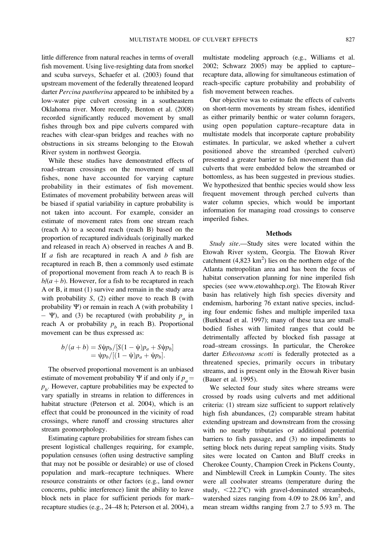little difference from natural reaches in terms of overall fish movement. Using live-resighting data from snorkel and scuba surveys, Schaefer et al. (2003) found that upstream movement of the federally threatened leopard darter Percina pantherina appeared to be inhibited by a low-water pipe culvert crossing in a southeastern Oklahoma river. More recently, Benton et al. (2008) recorded significantly reduced movement by small fishes through box and pipe culverts compared with reaches with clear-span bridges and reaches with no obstructions in six streams belonging to the Etowah River system in northwest Georgia.

While these studies have demonstrated effects of road–stream crossings on the movement of small fishes, none have accounted for varying capture probability in their estimates of fish movement. Estimates of movement probability between areas will be biased if spatial variability in capture probability is not taken into account. For example, consider an estimate of movement rates from one stream reach (reach A) to a second reach (reach B) based on the proportion of recaptured individuals (originally marked and released in reach A) observed in reaches A and B. If  $a$  fish are recaptured in reach A and  $b$  fish are recaptured in reach B, then a commonly used estimate of proportional movement from reach A to reach B is  $b/(a + b)$ . However, for a fish to be recaptured in reach A or B, it must (1) survive and remain in the study area with probability  $S$ ,  $(2)$  either move to reach  $B$  (with probability  $\Psi$ ) or remain in reach A (with probability 1  $-$  Ψ), and (3) be recaptured (with probability  $p_a$  in reach A or probability  $p<sub>b</sub>$  in reach B). Proportional movement can be thus expressed as:

$$
b/(a + b) = S\psi p_b/[S(1 - \psi)p_a + S\psi p_b]
$$
  
=  $\psi p_b/[(1 - \psi)p_a + \psi p_b].$ 

The observed proportional movement is an unbiased estimate of movement probability  $\Psi$  if and only if  $p_a =$  $p_b$ . However, capture probabilities may be expected to vary spatially in streams in relation to differences in habitat structure (Peterson et al. 2004), which is an effect that could be pronounced in the vicinity of road crossings, where runoff and crossing structures alter stream geomorphology.

Estimating capture probabilities for stream fishes can present logistical challenges requiring, for example, population censuses (often using destructive sampling that may not be possible or desirable) or use of closed population and mark–recapture techniques. Where resource constraints or other factors (e.g., land owner concerns, public interference) limit the ability to leave block nets in place for sufficient periods for mark– recapture studies (e.g., 24–48 h; Peterson et al. 2004), a multistate modeling approach (e.g., Williams et al. 2002; Schwarz 2005) may be applied to capture– recapture data, allowing for simultaneous estimation of reach-specific capture probability and probability of fish movement between reaches.

Our objective was to estimate the effects of culverts on short-term movements by stream fishes, identified as either primarily benthic or water column foragers, using open population capture–recapture data in multistate models that incorporate capture probability estimates. In particular, we asked whether a culvert positioned above the streambed (perched culvert) presented a greater barrier to fish movement than did culverts that were embedded below the streambed or bottomless, as has been suggested in previous studies. We hypothesized that benthic species would show less frequent movement through perched culverts than water column species, which would be important information for managing road crossings to conserve imperiled fishes.

#### Methods

Study site.—Study sites were located within the Etowah River system, Georgia. The Etowah River catchment  $(4,823 \text{ km}^2)$  lies on the northern edge of the Atlanta metropolitan area and has been the focus of habitat conservation planning for nine imperiled fish species (see www.etowahhcp.org). The Etowah River basin has relatively high fish species diversity and endemism, harboring 76 extant native species, including four endemic fishes and multiple imperiled taxa (Burkhead et al. 1997); many of these taxa are smallbodied fishes with limited ranges that could be detrimentally affected by blocked fish passage at road–stream crossings. In particular, the Cherokee darter Etheostoma scotti is federally protected as a threatened species, primarily occurs in tributary streams, and is present only in the Etowah River basin (Bauer et al. 1995).

We selected four study sites where streams were crossed by roads using culverts and met additional criteria: (1) stream size sufficient to support relatively high fish abundances, (2) comparable stream habitat extending upstream and downstream from the crossing with no nearby tributaries or additional potential barriers to fish passage, and (3) no impediments to setting block nets during repeat sampling visits. Study sites were located on Canton and Bluff creeks in Cherokee County, Champion Creek in Pickens County, and Nimblewill Creek in Lumpkin County. The sites were all coolwater streams (temperature during the study,  $\langle 22.2^{\circ}$ C) with gravel-dominated streambeds, watershed sizes ranging from  $4.09$  to  $28.06$  km<sup>2</sup>, and mean stream widths ranging from 2.7 to 5.93 m. The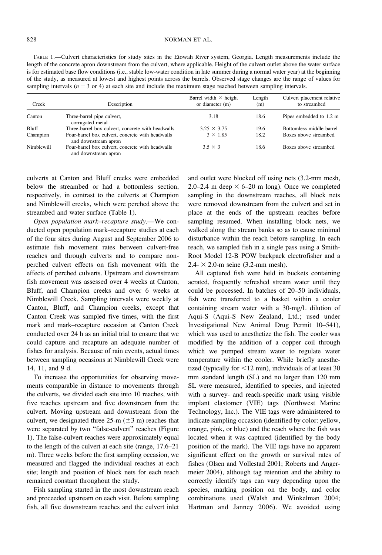## 828 NORMAN ET AL.

TABLE 1.—Culvert characteristics for study sites in the Etowah River system, Georgia. Length measurements include the length of the concrete apron downstream from the culvert, where applicable. Height of the culvert outlet above the water surface is for estimated base flow conditions (i.e., stable low-water condition in late summer during a normal water year) at the beginning of the study, as measured at lowest and highest points across the barrels. Observed stage changes are the range of values for sampling intervals ( $n = 3$  or 4) at each site and include the maximum stage reached between sampling intervals.

| Creek      | Description                                                              | Barrel width $\times$ height<br>or diameter (m) | Length<br>(m) | Culvert placement relative<br>to streambed |
|------------|--------------------------------------------------------------------------|-------------------------------------------------|---------------|--------------------------------------------|
| Canton     | Three-barrel pipe culvert,<br>corrugated metal                           | 3.18                                            | 18.6          | Pipes embedded to 1.2 m                    |
| Bluff      | Three-barrel box culvert, concrete with headwalls                        | $3.25 \times 3.75$                              | 19.6          | Bottomless middle barrel                   |
| Champion   | Four-barrel box culvert, concrete with headwalls<br>and downstream apron | $3 \times 1.85$                                 | 18.2          | Boxes above streambed                      |
| Nimblewill | Four-barrel box culvert, concrete with headwalls<br>and downstream apron | $3.5 \times 3$                                  | 18.6          | Boxes above streambed                      |

culverts at Canton and Bluff creeks were embedded below the streambed or had a bottomless section, respectively, in contrast to the culverts at Champion and Nimblewill creeks, which were perched above the streambed and water surface (Table 1).

Open population mark–recapture study.—We conducted open population mark–recapture studies at each of the four sites during August and September 2006 to estimate fish movement rates between culvert-free reaches and through culverts and to compare nonperched culvert effects on fish movement with the effects of perched culverts. Upstream and downstream fish movement was assessed over 4 weeks at Canton, Bluff, and Champion creeks and over 6 weeks at Nimblewill Creek. Sampling intervals were weekly at Canton, Bluff, and Champion creeks, except that Canton Creek was sampled five times, with the first mark and mark–recapture occasion at Canton Creek conducted over 24 h as an initial trial to ensure that we could capture and recapture an adequate number of fishes for analysis. Because of rain events, actual times between sampling occasions at Nimblewill Creek were 14, 11, and 9 d.

To increase the opportunities for observing movements comparable in distance to movements through the culverts, we divided each site into 10 reaches, with five reaches upstream and five downstream from the culvert. Moving upstream and downstream from the culvert, we designated three 25-m  $(\pm 3 \text{ m})$  reaches that were separated by two "false-culvert" reaches (Figure 1). The false-culvert reaches were approximately equal to the length of the culvert at each site (range, 17.6–21 m). Three weeks before the first sampling occasion, we measured and flagged the individual reaches at each site; length and position of block nets for each reach remained constant throughout the study.

Fish sampling started in the most downstream reach and proceeded upstream on each visit. Before sampling fish, all five downstream reaches and the culvert inlet and outlet were blocked off using nets (3.2-mm mesh, 2.0–2.4 m deep  $\times$  6–20 m long). Once we completed sampling in the downstream reaches, all block nets were removed downstream from the culvert and set in place at the ends of the upstream reaches before sampling resumed. When installing block nets, we walked along the stream banks so as to cause minimal disturbance within the reach before sampling. In each reach, we sampled fish in a single pass using a Smith-Root Model 12-B POW backpack electrofisher and a  $2.4 - \times 2.0$ -m seine (3.2-mm mesh).

All captured fish were held in buckets containing aerated, frequently refreshed stream water until they could be processed. In batches of 20–50 individuals, fish were transferred to a basket within a cooler containing stream water with a 30-mg/L dilution of Aqui-S (Aqui-S New Zealand, Ltd.; used under Investigational New Animal Drug Permit 10–541), which was used to anesthetize the fish. The cooler was modified by the addition of a copper coil through which we pumped stream water to regulate water temperature within the cooler. While briefly anesthetized (typically for  $<$  12 min), individuals of at least 30 mm standard length (SL) and no larger than 120 mm SL were measured, identified to species, and injected with a survey- and reach-specific mark using visible implant elastomer (VIE) tags (Northwest Marine Technology, Inc.). The VIE tags were administered to indicate sampling occasion (identified by color: yellow, orange, pink, or blue) and the reach where the fish was located when it was captured (identified by the body position of the mark). The VIE tags have no apparent significant effect on the growth or survival rates of fishes (Olsen and Vollestad 2001; Roberts and Angermeier 2004), although tag retention and the ability to correctly identify tags can vary depending upon the species, marking position on the body, and color combinations used (Walsh and Winkelman 2004; Hartman and Janney 2006). We avoided using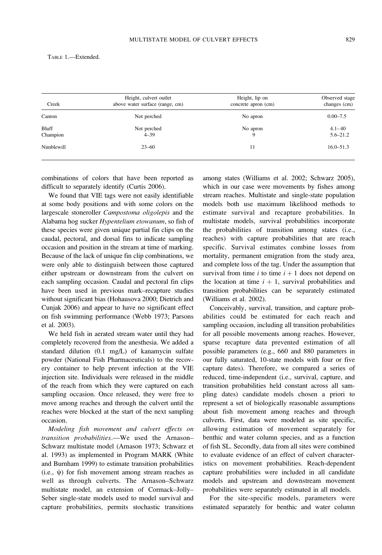| Creek      | Height, culvert outlet          | Height, lip on      | Observed stage |
|------------|---------------------------------|---------------------|----------------|
|            | above water surface (range, cm) | concrete apron (cm) | changes (cm)   |
| Canton     | Not perched                     | No apron            | $0.00 - 7.5$   |
| Bluff      | Not perched                     | No apron            | $4.1 - 40$     |
| Champion   | $4 - 39$                        | $\Omega$            | $5.6 - 21.2$   |
| Nimblewill | $23 - 60$                       | 11                  | $16.0 - 51.3$  |

combinations of colors that have been reported as difficult to separately identify (Curtis 2006).

We found that VIE tags were not easily identifiable at some body positions and with some colors on the largescale stoneroller Campostoma oligolepis and the Alabama hog sucker Hypentelium etowanum, so fish of these species were given unique partial fin clips on the caudal, pectoral, and dorsal fins to indicate sampling occasion and position in the stream at time of marking. Because of the lack of unique fin clip combinations, we were only able to distinguish between those captured either upstream or downstream from the culvert on each sampling occasion. Caudal and pectoral fin clips have been used in previous mark–recapture studies without significant bias (Hohausova 2000; Dietrich and Cunjak 2006) and appear to have no significant effect on fish swimming performance (Webb 1973; Parsons et al. 2003).

We held fish in aerated stream water until they had completely recovered from the anesthesia. We added a standard dilution (0.1 mg/L) of kanamycin sulfate powder (National Fish Pharmaceuticals) to the recovery container to help prevent infection at the VIE injection site. Individuals were released in the middle of the reach from which they were captured on each sampling occasion. Once released, they were free to move among reaches and through the culvert until the reaches were blocked at the start of the next sampling occasion.

Modeling fish movement and culvert effects on transition probabilities.—We used the Arnason– Schwarz multistate model (Arnason 1973; Schwarz et al. 1993) as implemented in Program MARK (White and Burnham 1999) to estimate transition probabilities (i.e.,  $\psi$ ) for fish movement among stream reaches as well as through culverts. The Arnason–Schwarz multistate model, an extension of Cormack–Jolly– Seber single-state models used to model survival and capture probabilities, permits stochastic transitions among states (Williams et al. 2002; Schwarz 2005), which in our case were movements by fishes among stream reaches. Multistate and single-state population models both use maximum likelihood methods to estimate survival and recapture probabilities. In multistate models, survival probabilities incorporate the probabilities of transition among states (i.e., reaches) with capture probabilities that are reach specific. Survival estimates combine losses from mortality, permanent emigration from the study area, and complete loss of the tag. Under the assumption that survival from time i to time  $i + 1$  does not depend on the location at time  $i + 1$ , survival probabilities and transition probabilities can be separately estimated (Williams et al. 2002).

Conceivably, survival, transition, and capture probabilities could be estimated for each reach and sampling occasion, including all transition probabilities for all possible movements among reaches. However, sparse recapture data prevented estimation of all possible parameters (e.g., 660 and 880 parameters in our fully saturated, 10-state models with four or five capture dates). Therefore, we compared a series of reduced, time-independent (i.e., survival, capture, and transition probabilities held constant across all sampling dates) candidate models chosen a priori to represent a set of biologically reasonable assumptions about fish movement among reaches and through culverts. First, data were modeled as site specific, allowing estimation of movement separately for benthic and water column species, and as a function of fish SL. Secondly, data from all sites were combined to evaluate evidence of an effect of culvert characteristics on movement probabilities. Reach-dependent capture probabilities were included in all candidate models and upstream and downstream movement probabilities were separately estimated in all models.

For the site-specific models, parameters were estimated separately for benthic and water column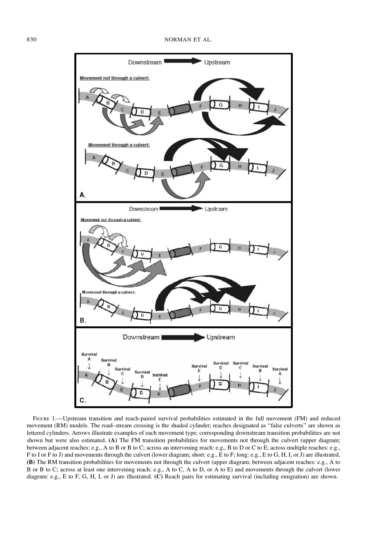

FIGURE 1.—Upstream transition and reach-paired survival probabilities estimated in the full movement (FM) and reduced movement (RM) models. The road–stream crossing is the shaded cylinder; reaches designated as ''false culverts'' are shown as lettered cylinders. Arrows illustrate examples of each movement type; corresponding downstream transition probabilities are not shown but were also estimated. (A) The FM transition probabilities for movements not through the culvert (upper diagram; between adjacent reaches: e.g., A to B or B to C; across an intervening reach: e.g., B to D or C to E; across multiple reaches: e.g., F to I or F to J) and movements through the culvert (lower diagram; short: e.g., E to F; long: e.g., E to G, H, I, or J) are illustrated. (B) The RM transition probabilities for movements not through the culvert (upper diagram; between adjacent reaches: e.g., A to B or B to C; across at least one intervening reach: e.g., A to C, A to D, or A to E) and movements through the culvert (lower diagram: e.g., E to F, G, H, I, or J) are illustrated. (C) Reach pairs for estimating survival (including emigration) are shown.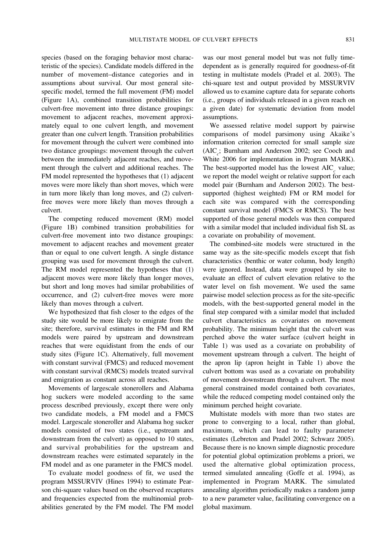species (based on the foraging behavior most characteristic of the species). Candidate models differed in the number of movement–distance categories and in assumptions about survival. Our most general sitespecific model, termed the full movement (FM) model (Figure 1A), combined transition probabilities for culvert-free movement into three distance groupings: movement to adjacent reaches, movement approximately equal to one culvert length, and movement greater than one culvert length. Transition probabilities for movement through the culvert were combined into two distance groupings: movement through the culvert between the immediately adjacent reaches, and movement through the culvert and additional reaches. The FM model represented the hypotheses that (1) adjacent moves were more likely than short moves, which were in turn more likely than long moves, and (2) culvertfree moves were more likely than moves through a culvert.

The competing reduced movement (RM) model (Figure 1B) combined transition probabilities for culvert-free movement into two distance groupings: movement to adjacent reaches and movement greater than or equal to one culvert length. A single distance grouping was used for movement through the culvert. The RM model represented the hypotheses that (1) adjacent moves were more likely than longer moves, but short and long moves had similar probabilities of occurrence, and (2) culvert-free moves were more likely than moves through a culvert.

We hypothesized that fish closer to the edges of the study site would be more likely to emigrate from the site; therefore, survival estimates in the FM and RM models were paired by upstream and downstream reaches that were equidistant from the ends of our study sites (Figure 1C). Alternatively, full movement with constant survival (FMCS) and reduced movement with constant survival (RMCS) models treated survival and emigration as constant across all reaches.

Movements of largescale stonerollers and Alabama hog suckers were modeled according to the same process described previously, except there were only two candidate models, a FM model and a FMCS model. Largescale stoneroller and Alabama hog sucker models consisted of two states (i.e., upstream and downstream from the culvert) as opposed to 10 states, and survival probabilities for the upstream and downstream reaches were estimated separately in the FM model and as one parameter in the FMCS model.

To evaluate model goodness of fit, we used the program MSSURVIV (Hines 1994) to estimate Pearson chi-square values based on the observed recaptures and frequencies expected from the multinomial probabilities generated by the FM model. The FM model was our most general model but was not fully timedependent as is generally required for goodness-of-fit testing in multistate models (Pradel et al. 2003). The chi-square test and output provided by MSSURVIV allowed us to examine capture data for separate cohorts (i.e., groups of individuals released in a given reach on a given date) for systematic deviation from model assumptions.

We assessed relative model support by pairwise comparisons of model parsimony using Akaike's information criterion corrected for small sample size  $(AIC<sub>c</sub>; Burnham and Anderson 2002; see Cooch and)$ White 2006 for implementation in Program MARK). The best-supported model has the lowest  $AIC_{a}$  value; we report the model weight or relative support for each model pair (Burnham and Anderson 2002). The bestsupported (highest weighted) FM or RM model for each site was compared with the corresponding constant survival model (FMCS or RMCS). The best supported of those general models was then compared with a similar model that included individual fish SL as a covariate on probability of movement.

The combined-site models were structured in the same way as the site-specific models except that fish characteristics (benthic or water column, body length) were ignored. Instead, data were grouped by site to evaluate an effect of culvert elevation relative to the water level on fish movement. We used the same pairwise model selection process as for the site-specific models, with the best-supported general model in the final step compared with a similar model that included culvert characteristics as covariates on movement probability. The minimum height that the culvert was perched above the water surface (culvert height in Table 1) was used as a covariate on probability of movement upstream through a culvert. The height of the apron lip (apron height in Table 1) above the culvert bottom was used as a covariate on probability of movement downstream through a culvert. The most general constrained model contained both covariates, while the reduced competing model contained only the minimum perched height covariate.

Multistate models with more than two states are prone to converging to a local, rather than global, maximum, which can lead to faulty parameter estimates (Lebreton and Pradel 2002; Schwarz 2005). Because there is no known simple diagnostic procedure for potential global optimization problems a priori, we used the alternative global optimization process, termed simulated annealing (Goffe et al. 1994), as implemented in Program MARK. The simulated annealing algorithm periodically makes a random jump to a new parameter value, facilitating convergence on a global maximum.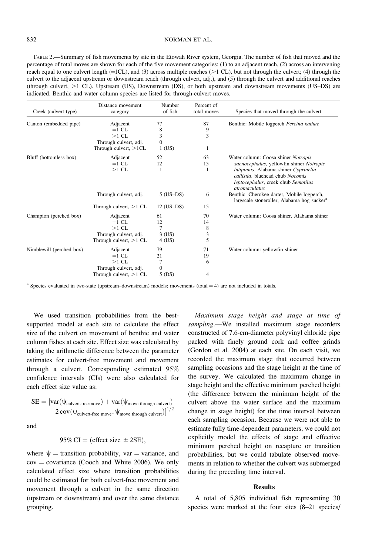## 832 NORMAN ET AL.

TABLE 2.—Summary of fish movements by site in the Etowah River system, Georgia. The number of fish that moved and the percentage of total moves are shown for each of the five movement categories: (1) to an adjacent reach, (2) across an intervening reach equal to one culvert length ( $=1CL$ ), and (3) across multiple reaches ( $>1 CL$ ), but not through the culvert; (4) through the culvert to the adjacent upstream or downstream reach (through culvert, adj.), and (5) through the culvert and additional reaches (through culvert,  $>1$  CL). Upstream (US), Downstream (DS), or both upstream and downstream movements (US–DS) are indicated. Benthic and water column species are listed for through-culvert moves.

| Creek (culvert type)     | Distance movement<br>category                   | Number<br>of fish        | Percent of<br>total moves | Species that moved through the culvert                                                                                                   |
|--------------------------|-------------------------------------------------|--------------------------|---------------------------|------------------------------------------------------------------------------------------------------------------------------------------|
| Canton (embedded pipe)   | Adjacent                                        | 77                       | 87                        | Benthic: Mobile logperch Percina kathae                                                                                                  |
|                          | $=1$ CL                                         | 8                        | 9                         |                                                                                                                                          |
|                          | $>1$ CL                                         | 3                        | 3                         |                                                                                                                                          |
|                          | Through culvert, adj.                           | $\overline{0}$           |                           |                                                                                                                                          |
|                          | Through culvert, $>1CL$                         | $1$ (US)                 | 1                         |                                                                                                                                          |
| Bluff (bottomless box)   | Adjacent                                        | 52                       | 63                        | Water column: Coosa shiner Notropis                                                                                                      |
|                          | $=1$ CL                                         | 12                       | 15                        | xaenocephalus, yellowfin shiner Notropis                                                                                                 |
|                          | $>1$ CL                                         | 1                        | 1                         | lutipinnis, Alabama shiner Cyprinella<br>callistia, bluehead chub Nocomis<br>leptocephalus, creek chub Semotilus<br><i>atromaculatus</i> |
|                          | Through culvert, adj.                           | $5$ (US-DS)              | 6                         | Benthic: Cherokee darter, Mobile logperch,<br>largscale stoneroller, Alabama hog sucker <sup>a</sup>                                     |
|                          | Through culvert, $>1$ CL                        | $12$ (US-DS)             | 15                        |                                                                                                                                          |
| Champion (perched box)   | Adjacent                                        | 61                       | 70                        | Water column: Coosa shiner, Alabama shiner                                                                                               |
|                          | $=1$ CL                                         | 12                       | 14                        |                                                                                                                                          |
|                          | $>1$ CL                                         | 7                        | 8                         |                                                                                                                                          |
|                          | Through culvert, adj.                           | $3$ (US)                 | 3                         |                                                                                                                                          |
|                          | Through culvert, $>1$ CL                        | 4 (US)                   | 5                         |                                                                                                                                          |
| Nimblewill (perched box) | Adjacent                                        | 79                       | 71                        | Water column: yellowfin shiner                                                                                                           |
|                          | $=1$ CL                                         | 21                       | 19                        |                                                                                                                                          |
|                          | $>1$ CL                                         | 7                        | 6                         |                                                                                                                                          |
|                          | Through culvert, adj.<br>Through culvert, >1 CL | $\mathbf{0}$<br>$5$ (DS) | $\overline{4}$            |                                                                                                                                          |

<sup>a</sup> Species evaluated in two-state (upstream–downstream) models; movements (total  $=$  4) are not included in totals.

We used transition probabilities from the bestsupported model at each site to calculate the effect size of the culvert on movement of benthic and water column fishes at each site. Effect size was calculated by taking the arithmetic difference between the parameter estimates for culvert-free movement and movement through a culvert. Corresponding estimated 95% confidence intervals (CIs) were also calculated for each effect size value as:

$$
SE = [var(\psi_{\text{culverf-free move}}) + var(\psi_{\text{move through culvert}}) - 2 cov(\psi_{\text{culvert-free move}}, \psi_{\text{move through culvert}})]^{1/2}
$$

and

$$
95\% CI = (effect size \pm 2SE),
$$

where  $\psi$  = transition probability, var = variance, and  $cov = covariance$  (Cooch and White 2006). We only calculated effect size where transition probabilities could be estimated for both culvert-free movement and movement through a culvert in the same direction (upstream or downstream) and over the same distance grouping.

Maximum stage height and stage at time of sampling.—We installed maximum stage recorders constructed of 7.6-cm-diameter polyvinyl chloride pipe packed with finely ground cork and coffee grinds (Gordon et al. 2004) at each site. On each visit, we recorded the maximum stage that occurred between sampling occasions and the stage height at the time of the survey. We calculated the maximum change in stage height and the effective minimum perched height (the difference between the minimum height of the culvert above the water surface and the maximum change in stage height) for the time interval between each sampling occasion. Because we were not able to estimate fully time-dependent parameters, we could not explicitly model the effects of stage and effective minimum perched height on recapture or transition probabilities, but we could tabulate observed movements in relation to whether the culvert was submerged during the preceding time interval.

## Results

A total of 5,805 individual fish representing 30 species were marked at the four sites (8–21 species/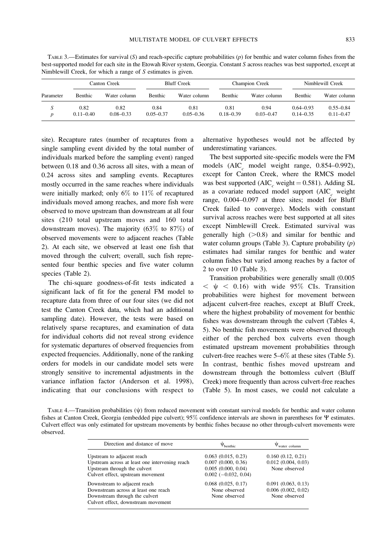|                  | Canton Creek          |                       | <b>Bluff Creek</b>    |                       | Champion Creek        |                       | Nimblewill Creek               |                                |
|------------------|-----------------------|-----------------------|-----------------------|-----------------------|-----------------------|-----------------------|--------------------------------|--------------------------------|
| Parameter        | <b>Benthic</b>        | Water column          | <b>Benthic</b>        | Water column          | <b>Benthic</b>        | Water column          | <b>Benthic</b>                 | Water column                   |
| $\boldsymbol{D}$ | 0.82<br>$0.11 - 0.40$ | 0.82<br>$0.08 - 0.33$ | 0.84<br>$0.05 - 0.37$ | 0.81<br>$0.05 - 0.36$ | 0.81<br>$0.18 - 0.39$ | 0.94<br>$0.03 - 0.47$ | $0.64 - 0.93$<br>$0.14 - 0.35$ | $0.55 - 0.84$<br>$0.11 - 0.47$ |

TABLE 3.—Estimates for survival  $(S)$  and reach-specific capture probabilities  $(p)$  for benthic and water column fishes from the best-supported model for each site in the Etowah River system, Georgia. Constant S across reaches was best supported, except at Nimblewill Creek, for which a range of S estimates is given.

site). Recapture rates (number of recaptures from a single sampling event divided by the total number of individuals marked before the sampling event) ranged between 0.18 and 0.36 across all sites, with a mean of 0.24 across sites and sampling events. Recaptures mostly occurred in the same reaches where individuals were initially marked; only 6% to 11% of recaptured individuals moved among reaches, and more fish were observed to move upstream than downstream at all four sites (210 total upstream moves and 160 total downstream moves). The majority (63% to 87%) of observed movements were to adjacent reaches (Table 2). At each site, we observed at least one fish that moved through the culvert; overall, such fish represented four benthic species and five water column species (Table 2).

The chi-square goodness-of-fit tests indicated a significant lack of fit for the general FM model to recapture data from three of our four sites (we did not test the Canton Creek data, which had an additional sampling date). However, the tests were based on relatively sparse recaptures, and examination of data for individual cohorts did not reveal strong evidence for systematic departures of observed frequencies from expected frequencies. Additionally, none of the ranking orders for models in our candidate model sets were strongly sensitive to incremental adjustments in the variance inflation factor (Anderson et al. 1998), indicating that our conclusions with respect to alternative hypotheses would not be affected by underestimating variances.

The best supported site-specific models were the FM models  $(AIC<sub>a</sub> model weight range, 0.854–0.992)$ , except for Canton Creek, where the RMCS model was best supported (AIC<sub>c</sub> weight = 0.581). Adding SL as a covariate reduced model support (AIC weight range, 0.004–0.097 at three sites; model for Bluff Creek failed to converge). Models with constant survival across reaches were best supported at all sites except Nimblewill Creek. Estimated survival was generally high  $(>0.8)$  and similar for benthic and water column groups (Table 3). Capture probability  $(p)$ estimates had similar ranges for benthic and water column fishes but varied among reaches by a factor of 2 to over 10 (Table 3).

Transition probabilities were generally small (0.005  $< \psi < 0.16$ ) with wide 95% CIs. Transition probabilities were highest for movement between adjacent culvert-free reaches, except at Bluff Creek, where the highest probability of movement for benthic fishes was downstream through the culvert (Tables 4, 5). No benthic fish movements were observed through either of the perched box culverts even though estimated upstream movement probabilities through culvert-free reaches were 5–6% at these sites (Table 5). In contrast, benthic fishes moved upstream and downstream through the bottomless culvert (Bluff Creek) more frequently than across culvert-free reaches (Table 5). In most cases, we could not calculate a

TABLE 4.—Transition probabilities  $(\psi)$  from reduced movement with constant survival models for benthic and water column fishes at Canton Creek, Georgia (embedded pipe culvert); 95% confidence intervals are shown in parentheses for W estimates. Culvert effect was only estimated for upstream movements by benthic fishes because no other through-culvert movements were observed.

| Direction and distance of move                                                                                                                    | $\Psi_{\text{benthic}}$                                                                                 | water column                                                  |
|---------------------------------------------------------------------------------------------------------------------------------------------------|---------------------------------------------------------------------------------------------------------|---------------------------------------------------------------|
| Upstream to adjacent reach<br>Upstream across at least one intervening reach<br>Upstream through the culvert<br>Culvert effect, upstream movement | $0.063$ $(0.015, 0.23)$<br>$0.007$ $(0.000, 0.36)$<br>$0.005$ $(0.000, 0.04)$<br>$0.002$ (-0.032, 0.04) | 0.160(0.12, 0.21)<br>$0.012$ $(0.004, 0.03)$<br>None observed |
| Downstream to adjacent reach<br>Downstream across at least one reach<br>Downstream through the culvert<br>Culvert effect, downstream movement     | $0.068$ $(0.025, 0.17)$<br>None observed<br>None observed                                               | 0.091(0.063, 0.13)<br>0.006(0.002, 0.02)<br>None observed     |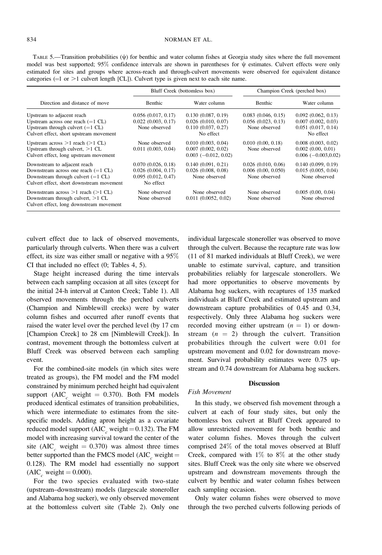TABLE 5.—Transition probabilities  $(\psi)$  for benthic and water column fishes at Georgia study sites where the full movement model was best supported; 95% confidence intervals are shown in parentheses for  $\psi$  estimates. Culvert effects were only estimated for sites and groups where across-reach and through-culvert movements were observed for equivalent distance categories  $(=1 \text{ or } >1$  culvert length [CL]). Culvert type is given next to each site name.

|                                                                                                                                                                            |                                                                             | Bluff Creek (bottomless box)                                                   | Champion Creek (perched box)                                   |                                                                                  |  |
|----------------------------------------------------------------------------------------------------------------------------------------------------------------------------|-----------------------------------------------------------------------------|--------------------------------------------------------------------------------|----------------------------------------------------------------|----------------------------------------------------------------------------------|--|
| Direction and distance of move                                                                                                                                             | <b>Benthic</b>                                                              | Water column                                                                   | <b>Benthic</b>                                                 | Water column                                                                     |  |
| Upstream to adjacent reach<br>Upstream across one reach $(=1 \text{ CL})$<br>Upstream through culvert $(=1 \text{ CL})$<br>Culvert effect, short upstream movement         | 0.056(0.017, 0.17)<br>0.022(0.003, 0.17)<br>None observed                   | 0.130(0.087, 0.19)<br>$0.026$ (0.010, 0.07)<br>0.110(0.037, 0.27)<br>No effect | $0.083$ $(0.046, 0.15)$<br>0.056(0.023, 0.13)<br>None observed | 0.092(0.062, 0.13)<br>0.007(0.002, 0.03)<br>$0.051$ $(0.017, 0.14)$<br>No effect |  |
| Upstream across $>1$ reach ( $>1$ CL)<br>Upstream through culvert, $>1$ CL<br>Culvert effect, long upstream movement                                                       | None observed<br>0.011(0.003, 0.04)                                         | 0.010(0.003, 0.04)<br>$0.007$ $(0.002, 0.02)$<br>$0.003(-0.012, 0.02)$         | $0.010$ $(0.00, 0.18)$<br>None observed                        | $0.008$ $(0.003, 0.02)$<br>$0.002$ $(0.00, 0.01)$<br>$0.006(-0.003, 0.02)$       |  |
| Downstream to adjacent reach<br>Downstream across one reach $(=1 \text{ CL})$<br>Downstream through culvert $(=1 \text{ CL})$<br>Culvert effect, short downstream movement | 0.070(0.026, 0.18)<br>0.026(0.004, 0.17)<br>0.095(0.012, 0.47)<br>No effect | 0.140(0.091, 0.21)<br>$0.026$ $(0.008, 0.08)$<br>None observed                 | $0.026$ (0.010, 0.06)<br>0.006(0.00, 0.050)<br>None observed   | 0.140(0.099, 0.19)<br>0.015(0.005, 0.04)<br>None observed                        |  |
| Downstream across $>1$ reach ( $>1$ CL)<br>Downstream through culvert, $>1$ CL<br>Culvert effect, long downstream movement                                                 | None observed<br>None observed                                              | None observed<br>$0.011$ $(0.0052, 0.02)$                                      | None observed<br>None observed                                 | 0.005(0.00, 0.04)<br>None observed                                               |  |

culvert effect due to lack of observed movements, particularly through culverts. When there was a culvert effect, its size was either small or negative with a 95% CI that included no effect (0; Tables 4, 5).

Stage height increased during the time intervals between each sampling occasion at all sites (except for the initial 24-h interval at Canton Creek; Table 1). All observed movements through the perched culverts (Champion and Nimblewill creeks) were by water column fishes and occurred after runoff events that raised the water level over the perched level (by 17 cm [Champion Creek] to 28 cm [Nimblewill Creek]). In contrast, movement through the bottomless culvert at Bluff Creek was observed between each sampling event.

For the combined-site models (in which sites were treated as groups), the FM model and the FM model constrained by minimum perched height had equivalent support (AIC<sub>c</sub> weight  $= 0.370$ ). Both FM models produced identical estimates of transition probabilities, which were intermediate to estimates from the sitespecific models. Adding apron height as a covariate reduced model support (AIC<sub>c</sub> weight = 0.132). The FM model with increasing survival toward the center of the site (AIC<sub>c</sub> weight = 0.370) was almost three times better supported than the FMCS model (AIC<sub>c</sub> weight = 0.128). The RM model had essentially no support  $(AIC<sub>c</sub> weight = 0.000).$ 

For the two species evaluated with two-state (upstream–downstream) models (largescale stoneroller and Alabama hog sucker), we only observed movement at the bottomless culvert site (Table 2). Only one

individual largescale stoneroller was observed to move through the culvert. Because the recapture rate was low (11 of 81 marked individuals at Bluff Creek), we were unable to estimate survival, capture, and transition probabilities reliably for largescale stonerollers. We had more opportunities to observe movements by Alabama hog suckers, with recaptures of 135 marked individuals at Bluff Creek and estimated upstream and downstream capture probabilities of 0.45 and 0.34, respectively. Only three Alabama hog suckers were recorded moving either upstream  $(n = 1)$  or downstream  $(n = 2)$  through the culvert. Transition probabilities through the culvert were 0.01 for upstream movement and 0.02 for downstream movement. Survival probability estimates were 0.75 upstream and 0.74 downstream for Alabama hog suckers.

## Discussion

## Fish Movement

In this study, we observed fish movement through a culvert at each of four study sites, but only the bottomless box culvert at Bluff Creek appeared to allow unrestricted movement for both benthic and water column fishes. Moves through the culvert comprised 24% of the total moves observed at Bluff Creek, compared with  $1\%$  to  $8\%$  at the other study sites. Bluff Creek was the only site where we observed upstream and downstream movements through the culvert by benthic and water column fishes between each sampling occasion.

Only water column fishes were observed to move through the two perched culverts following periods of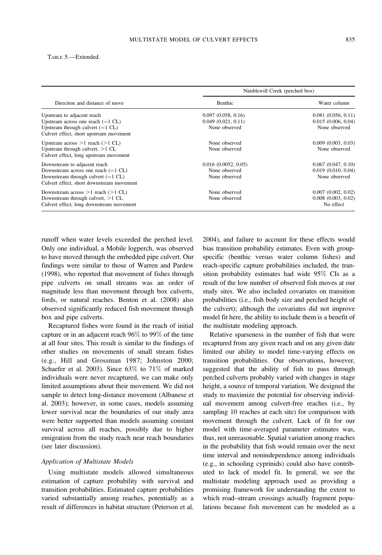|                                                                                                                                                                            | Nimblewill Creek (perched box)                             |                                                                |  |  |
|----------------------------------------------------------------------------------------------------------------------------------------------------------------------------|------------------------------------------------------------|----------------------------------------------------------------|--|--|
| Direction and distance of move                                                                                                                                             | Benthic                                                    | Water column                                                   |  |  |
| Upstream to adjacent reach<br>Upstream across one reach $(=1 \text{ CL})$<br>Upstream through culvert $(=1 \text{ CL})$<br>Culvert effect, short upstream movement         | 0.097(0.058, 0.16)<br>0.049(0.021, 0.11)<br>None observed  | $0.081$ $(0.056, 0.11)$<br>0.015(0.006, 0.04)<br>None observed |  |  |
| Upstream across $>1$ reach ( $>1$ CL)<br>Upstream through culvert, $>1$ CL<br>Culvert effect, long upstream movement                                                       | None observed<br>None observed                             | 0.009(0.003, 0.03)<br>None observed                            |  |  |
| Downstream to adjacent reach<br>Downstream across one reach $(=1 \text{ CL})$<br>Downstream through culvert $(=1 \text{ CL})$<br>Culvert effect, short downstream movement | $0.016$ $(0.0052, 0.05)$<br>None observed<br>None observed | 0.067(0.047, 0.10)<br>0.019(0.010, 0.04)<br>None observed      |  |  |
| Downstream across $>1$ reach ( $>1$ CL)<br>Downstream through culvert, $>1$ CL<br>Culvert effect, long downstream movement                                                 | None observed<br>None observed                             | 0.007(0.002, 0.02)<br>$0.008$ $(0.003, 0.02)$<br>No effect     |  |  |

runoff when water levels exceeded the perched level. Only one individual, a Mobile logperch, was observed to have moved through the embedded pipe culvert. Our findings were similar to those of Warren and Pardew (1998), who reported that movement of fishes through pipe culverts on small streams was an order of magnitude less than movement through box culverts, fords, or natural reaches. Benton et al. (2008) also observed significantly reduced fish movement through box and pipe culverts.

Recaptured fishes were found in the reach of initial capture or in an adjacent reach 96% to 99% of the time at all four sites. This result is similar to the findings of other studies on movements of small stream fishes (e.g., Hill and Grossman 1987; Johnston 2000; Schaefer et al. 2003). Since 63% to 71% of marked individuals were never recaptured, we can make only limited assumptions about their movement. We did not sample to detect long-distance movement (Albanese et al. 2003); however, in some cases, models assuming lower survival near the boundaries of our study area were better supported than models assuming constant survival across all reaches, possibly due to higher emigration from the study reach near reach boundaries (see later discussion).

#### Application of Multistate Models

Using multistate models allowed simultaneous estimation of capture probability with survival and transition probabilities. Estimated capture probabilities varied substantially among reaches, potentially as a result of differences in habitat structure (Peterson et al. 2004), and failure to account for these effects would bias transition probability estimates. Even with groupspecific (benthic versus water column fishes) and reach-specific capture probabilities included, the transition probability estimates had wide 95% CIs as a result of the low number of observed fish moves at our study sites. We also included covariates on transition probabilities (i.e., fish body size and perched height of the culvert); although the covariates did not improve model fit here, the ability to include them is a benefit of the multistate modeling approach.

Relative sparseness in the number of fish that were recaptured from any given reach and on any given date limited our ability to model time-varying effects on transition probabilities. Our observations, however, suggested that the ability of fish to pass through perched culverts probably varied with changes in stage height, a source of temporal variation. We designed the study to maximize the potential for observing individual movement among culvert-free reaches (i.e., by sampling 10 reaches at each site) for comparison with movement through the culvert. Lack of fit for our model with time-averaged parameter estimates was, thus, not unreasonable. Spatial variation among reaches in the probability that fish would remain over the next time interval and nonindependence among individuals (e.g., in schooling cyprinids) could also have contributed to lack of model fit. In general, we see the multistate modeling approach used as providing a promising framework for understanding the extent to which road–stream crossings actually fragment populations because fish movement can be modeled as a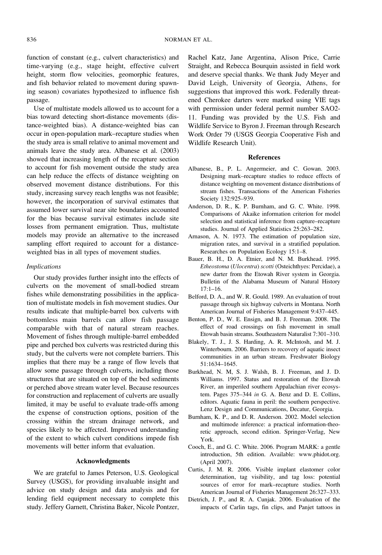function of constant (e.g., culvert characteristics) and time-varying (e.g., stage height, effective culvert height, storm flow velocities, geomorphic features, and fish behavior related to movement during spawning season) covariates hypothesized to influence fish passage.

Use of multistate models allowed us to account for a bias toward detecting short-distance movements (distance-weighted bias). A distance-weighted bias can occur in open-population mark–recapture studies when the study area is small relative to animal movement and animals leave the study area. Albanese et al. (2003) showed that increasing length of the recapture section to account for fish movement outside the study area can help reduce the effects of distance weighting on observed movement distance distributions. For this study, increasing survey reach lengths was not feasible; however, the incorporation of survival estimates that assumed lower survival near site boundaries accounted for the bias because survival estimates include site losses from permanent emigration. Thus, multistate models may provide an alternative to the increased sampling effort required to account for a distanceweighted bias in all types of movement studies.

## Implications

Our study provides further insight into the effects of culverts on the movement of small-bodied stream fishes while demonstrating possibilities in the application of multistate models in fish movement studies. Our results indicate that multiple-barrel box culverts with bottomless main barrels can allow fish passage comparable with that of natural stream reaches. Movement of fishes through multiple-barrel embedded pipe and perched box culverts was restricted during this study, but the culverts were not complete barriers. This implies that there may be a range of flow levels that allow some passage through culverts, including those structures that are situated on top of the bed sediments or perched above stream water level. Because resources for construction and replacement of culverts are usually limited, it may be useful to evaluate trade-offs among the expense of construction options, position of the crossing within the stream drainage network, and species likely to be affected. Improved understanding of the extent to which culvert conditions impede fish movements will better inform that evaluation.

## Acknowledgments

We are grateful to James Peterson, U.S. Geological Survey (USGS), for providing invaluable insight and advice on study design and data analysis and for lending field equipment necessary to complete this study. Jeffery Garnett, Christina Baker, Nicole Pontzer,

Rachel Katz, Jane Argentina, Alison Price, Carrie Straight, and Rebecca Bourquin assisted in field work and deserve special thanks. We thank Judy Meyer and David Leigh, University of Georgia, Athens, for suggestions that improved this work. Federally threatened Cherokee darters were marked using VIE tags with permission under federal permit number SAO2- 11. Funding was provided by the U.S. Fish and Wildlife Service to Byron J. Freeman through Research Work Order 79 (USGS Georgia Cooperative Fish and Wildlife Research Unit).

#### **References**

- Albanese, B., P. L. Angermeier, and C. Gowan. 2003. Designing mark–recapture studies to reduce effects of distance weighting on movement distance distributions of stream fishes. Transactions of the American Fisheries Society 132:925–939.
- Anderson, D. R., K. P. Burnham, and G. C. White. 1998. Comparisons of Akaike information criterion for model selection and statistical inference from capture–recapture studies. Journal of Applied Statistics 25:263–282.
- Arnason, A. N. 1973. The estimation of population size, migration rates, and survival in a stratified population. Researches on Population Ecology 15:1–8.
- Bauer, B. H., D. A. Etnier, and N. M. Burkhead. 1995. Etheostoma (Ulocentra) scotti (Osteichthyes: Percidae), a new darter from the Etowah River system in Georgia. Bulletin of the Alabama Museum of Natural History 17:1–16.
- Belford, D. A., and W. R. Gould. 1989. An evaluation of trout passage through six highway culverts in Montana. North American Journal of Fisheries Management 9:437–445.
- Benton, P. D., W. E. Ensign, and B. J. Freeman. 2008. The effect of road crossings on fish movement in small Etowah basin streams. Southeastern Naturalist 7:301–310.
- Blakely, T. J., J. S. Harding, A. R. McIntosh, and M. J. Winterbourn. 2006. Barriers to recovery of aquatic insect communities in an urban stream. Freshwater Biology 51:1634–1645.
- Burkhead, N. M, S. J. Walsh, B. J. Freeman, and J. D. Williams. 1997. Status and restoration of the Etowah River, an imperiled southern Appalachian river ecosystem. Pages 375–344 in G. A. Benz and D. E. Collins, editors. Aquatic fauna in peril: the southern perspective. Lenz Design and Communications, Decatur, Georgia.
- Burnham, K. P., and D. R. Anderson. 2002. Model selection and multimode inference: a practical information-theoretic approach, second edition. Springer-Verlag, New York.
- Cooch, E., and G. C. White. 2006. Program MARK: a gentle introduction, 5th edition. Available: www.phidot.org. (April 2007).
- Curtis, J. M. R. 2006. Visible implant elastomer color determination, tag visibility, and tag loss: potential sources of error for mark–recapture studies. North American Journal of Fisheries Management 26:327–333.
- Dietrich, J. P., and R. A. Cunjak. 2006. Evaluation of the impacts of Carlin tags, fin clips, and Panjet tattoos in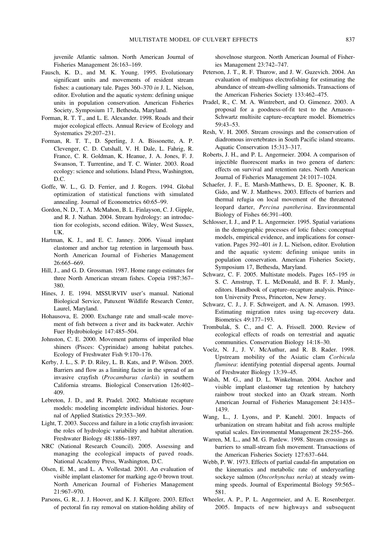juvenile Atlantic salmon. North American Journal of Fisheries Management 26:163–169.

- Fausch, K. D., and M. K. Young. 1995. Evolutionary significant units and movements of resident stream fishes: a cautionary tale. Pages 360–370 in J. L. Nielson, editor. Evolution and the aquatic system: defining unique units in population conservation. American Fisheries Society, Symposium 17, Bethesda, Maryland.
- Forman, R. T. T., and L. E. Alexander. 1998. Roads and their major ecological effects. Annual Review of Ecology and Systematics 29:207–231.
- Forman, R. T. T., D. Sperling, J. A. Bissonette, A. P. Clevenger, C. D. Cutshall, V. H. Dale, L. Fahrig, R. France, C. R. Goldman, K. Heanue, J. A. Jones, F. J. Swanson, T. Turrentine, and T. C. Winter. 2003. Road ecology: science and solutions. Island Press, Washington, D.C.
- Goffe, W. L., G. D. Ferrier, and J. Rogers. 1994. Global optimization of statistical functions with simulated annealing. Journal of Econometrics 60:65–99.
- Gordon, N. D., T. A. McMahon, B. L. Finlayson, C. J. Gipple, and R. J. Nathan. 2004. Stream hydrology: an introduction for ecologists, second edition. Wiley, West Sussex, UK.
- Hartman, K. J., and E. C. Janney. 2006. Visual implant elastomer and anchor tag retention in largemouth bass. North American Journal of Fisheries Management 26:665–669.
- Hill, J., and G. D. Grossman. 1987. Home range estimates for three North American stream fishes. Copeia 1987:367– 380.
- Hines, J. E. 1994. MSSURVIV user's manual. National Biological Service, Patuxent Wildlife Research Center, Laurel, Maryland.
- Hohausova, E. 2000. Exchange rate and small-scale movement of fish between a river and its backwater. Archiv Fuer Hydrobiologie 147:485–504.
- Johnston, C. E. 2000. Movement patterns of imperiled blue shiners (Pisces: Cyprinidae) among habitat patches. Ecology of Freshwater Fish 9:170–176.
- Kerby, J. L., S. P. D. Riley, L. B. Kats, and P. Wilson. 2005. Barriers and flow as a limiting factor in the spread of an invasive crayfish (Procambarus clarkii) in southern California streams. Biological Conservation 126:402– 409.
- Lebreton, J. D., and R. Pradel. 2002. Multistate recapture models: modeling incomplete individual histories. Journal of Applied Statistics 29:353–369.
- Light, T. 2003. Success and failure in a lotic crayfish invasion: the roles of hydrologic variability and habitat alteration. Freshwater Biology 48:1886–1897.
- NRC (National Research Council). 2005. Assessing and managing the ecological impacts of paved roads. National Academy Press, Washington, D.C.
- Olsen, E. M., and L. A. Vollestad. 2001. An evaluation of visible implant elastomer for marking age-0 brown trout. North American Journal of Fisheries Management 21:967–970.
- Parsons, G. R., J. J. Hoover, and K. J. Killgore. 2003. Effect of pectoral fin ray removal on station-holding ability of

shovelnose sturgeon. North American Journal of Fisheries Management 23:742–747.

- Peterson, J. T., R. F. Thurow, and J. W. Guzevich. 2004. An evaluation of multipass electrofishing for estimating the abundance of stream-dwelling salmonids. Transactions of the American Fisheries Society 133:462–475.
- Pradel, R., C. M. A. Wintrebert, and O. Gimenez. 2003. A proposal for a goodness-of-fit test to the Arnason– Schwartz multisite capture–recapture model. Biometrics 59:43–53.
- Resh, V. H. 2005. Stream crossings and the conservation of diadromous invertebrates in South Pacific island streams. Aquatic Conservation 15:313–317.
- Roberts, J. H., and P. L. Angermeier. 2004. A comparison of injectible fluorescent marks in two genera of darters: effects on survival and retention rates. North American Journal of Fisheries Management 24:1017–1024.
- Schaefer, J. F., E. Marsh-Matthews, D. E. Spooner, K. B. Gido, and W. J. Matthews. 2003. Effects of barriers and thermal refugia on local movement of the threatened leopard darter, Percina pantherina. Environmental Biology of Fishes 66:391–400.
- Schlosser, I. J., and P. L. Angermeier. 1995. Spatial variations in the demographic processes of lotic fishes: conceptual models, empirical evidence, and implications for conservation. Pages 392–401 in J. L. Nielson, editor. Evolution and the aquatic system: defining unique units in population conservation. American Fisheries Society, Symposium 17, Bethesda, Maryland.
- Schwarz, C. F. 2005. Multistate models. Pages 165–195 in S. C. Amstrup, T. L. McDonald, and B. F. J. Manly, editors. Handbook of capture–recapture analysis. Princeton University Press, Princeton, New Jersey.
- Schwarz, C. J., J. F. Schweigert, and A. N. Arnason. 1993. Estimating migration rates using tag-recovery data. Biometrics 49:177–193.
- Trombulak, S. C., and C. A. Frissell. 2000. Review of ecological effects of roads on terrestrial and aquatic communities. Conservation Biology 14:18–30.
- Voelz, N. J., J. V. McAuthur, and R. B. Rader. 1998. Upstream mobility of the Asiatic clam Corbicula fluminea: identifying potential dispersal agents. Journal of Freshwater Biology 13:39–45.
- Walsh, M. G., and D. L. Winkelman. 2004. Anchor and visible implant elastomer tag retention by hatchery rainbow trout stocked into an Ozark stream. North American Journal of Fisheries Management 24:1435– 1439.
- Wang, L., J. Lyons, and P. Kanehl. 2001. Impacts of urbanization on stream habitat and fish across multiple spatial scales. Environmental Management 28:255–266.
- Warren, M. L., and M. G. Pardew. 1998. Stream crossings as barriers to small-stream fish movement. Transactions of the American Fisheries Society 127:637–644.
- Webb, P. W. 1973. Effects of partial caudal-fin amputation on the kinematics and metabolic rate of underyearling sockeye salmon (Oncorhynchus nerka) at steady swimming speeds. Journal of Experimental Biology 59:565– 581.
- Wheeler, A. P., P. L. Angermeier, and A. E. Rosenberger. 2005. Impacts of new highways and subsequent